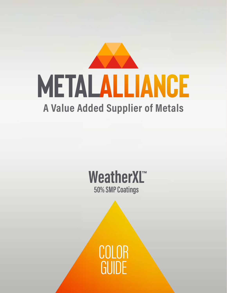

### **WeatherXL™ 50% SMP Coatings**

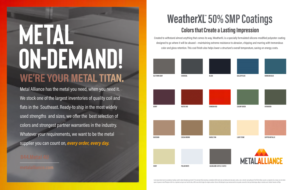

# **WE'RE YOUR METAL TITAN. Metal**  ON-DEMAND!

Created to withstand almost anything that comes its way, WeatherXL is a specially formulated silicone-modified polyester coating designed to go where it will be abused —maintaining extreme resistance to abrasion, chipping and marring with tremendous color and gloss retention. This cool finish also helps lower a structure's overall temperature, saving on energy costs.



Metal Alliance has the metal you need, when you need it. We stock one of the largest inventories of quality coil and flats in the Southeast. Ready-to ship in the most widely used strengths and sizes, we offer the best selection of colors and strongest partner warranties in the industry. Whatever your requirements, we want to be the metal supplier you can count on, *every order, every day.*

**metalalliance.com**

## **Colors that Create a Lasting Impression WeatherXL 50% SMP Coatings**